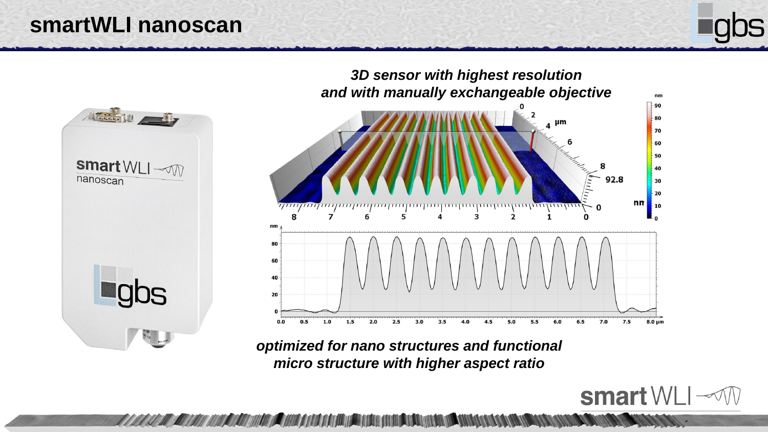### **smartWLI nanoscan**





*optimized for nano structures and functional micro structure with higher aspect ratio*

A MARINE DE MANIFERANCE DE MANIFERANCE DE MANIFERANCE DE L'ANGELIA DE L'ANGELIA DE L'ANGELIA DE L'ANGELIA DE L

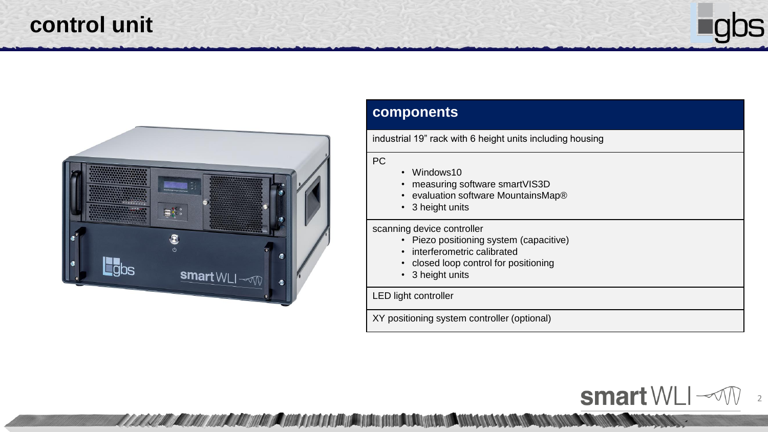## **control unit**



2

smart WLI  $\sim$ 



### **components**

industrial 19" rack with 6 height units including housing

#### PC

- Windows10
- measuring software smartVIS3D
- evaluation software MountainsMap®
- 3 height units

scanning device controller

- Piezo positioning system (capacitive)
- interferometric calibrated
- closed loop control for positioning
- 3 height units

LED light controller

<u>TI AAAA MILAA MILAA MILAA MILAA MILAA MILAA MUUTI MUUTI ON MUUTI MUUTI MUUTI MUUTI MUUTI MUUTI MUUTI MUUTI MUUTI MUUTI MUUTI MUUTI MUUTI MUUTI MUUTI MUUTI MUUTI MUUTI MUUTI MUUTI MUUTI MUUTI MUUTI MUUTI MUUTI MUUTI MUUTI </u>

XY positioning system controller (optional)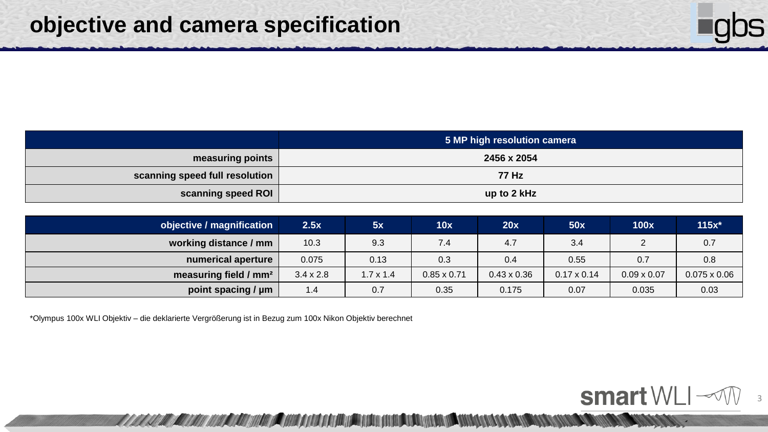|                                | 5 MP high resolution camera |
|--------------------------------|-----------------------------|
| measuring points               | 2456 x 2054                 |
| scanning speed full resolution | <b>77 Hz</b>                |
| scanning speed ROI             | up to 2 kHz                 |

| objective / magnification         | 2.5x             | 5x               | 10x                | 20x                | <b>50x</b>         | 100x               | $115x^*$            |
|-----------------------------------|------------------|------------------|--------------------|--------------------|--------------------|--------------------|---------------------|
| working distance / mm             | 10.3             | 9.3              | 7.4                | 4.7                | 3.4                |                    | 0.7                 |
| numerical aperture                | 0.075            | 0.13             | 0.3                | 0.4                | 0.55               | 0.7                | 0.8                 |
| measuring field / mm <sup>2</sup> | $3.4 \times 2.8$ | $1.7 \times 1.4$ | $0.85 \times 0.71$ | $0.43 \times 0.36$ | $0.17 \times 0.14$ | $0.09 \times 0.07$ | $0.075 \times 0.06$ |
| point spacing / µm                | 1.4              | 0.7              | 0.35               | 0.175              | 0.07               | 0.035              | 0.03                |

\*Olympus 100x WLI Objektiv – die deklarierte Vergrößerung ist in Bezug zum 100x Nikon Objektiv berechnet

<u>TI KIKI KIKI KA KIKIKI NGUNI COKUT JUDI NU NTI NGUNI NGUNI NGUNU JIHOT NGUNI JIHOT KA MATUJI N</u>

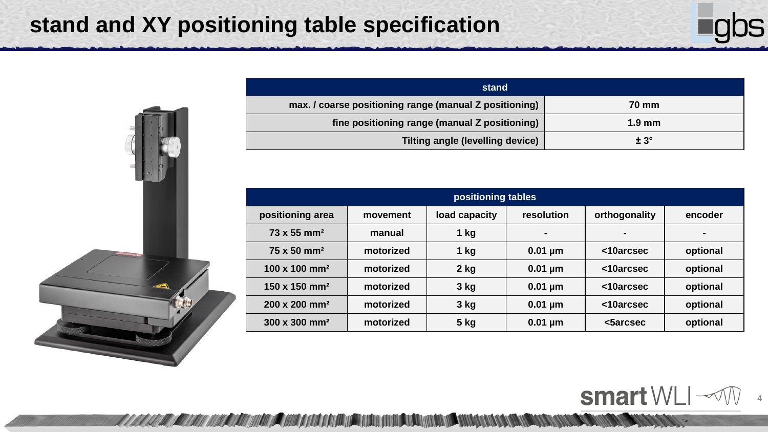# **stand and XY positioning table specification**



4

smart WLI  $\mathcal{M}$ 

<u>WANG MANA MANA NA MANA NA TANG TANG TING TITU ANG KANG MANA TANG KAN</u>



| stand                                                  |                  |
|--------------------------------------------------------|------------------|
| max. / coarse positioning range (manual Z positioning) | <b>70 mm</b>     |
| fine positioning range (manual Z positioning)          | $1.9 \text{ mm}$ |
| <b>Tilting angle (levelling device)</b>                | $± 3^\circ$      |

| positioning tables               |           |               |              |               |                |
|----------------------------------|-----------|---------------|--------------|---------------|----------------|
| positioning area                 | movement  | load capacity | resolution   | orthogonality | encoder        |
| $73 \times 55$ mm <sup>2</sup>   | manual    | $1$ kg        |              | -             | $\blacksquare$ |
| 75 x 50 mm <sup>2</sup>          | motorized | $1$ kg        | $0.01 \mu m$ | <10arcsec     | optional       |
| $100 \times 100$ mm <sup>2</sup> | motorized | $2$ kg        | $0.01 \mu m$ | <10arcsec     | optional       |
| 150 x 150 mm <sup>2</sup>        | motorized | $3$ kg        | $0.01 \mu m$ | <10arcsec     | optional       |
| 200 x 200 mm <sup>2</sup>        | motorized | 3 kg          | $0.01 \mu m$ | <10arcsec     | optional       |
| 300 x 300 mm <sup>2</sup>        | motorized | $5$ kg        | $0.01 \mu m$ | <br>starcsec  | optional       |